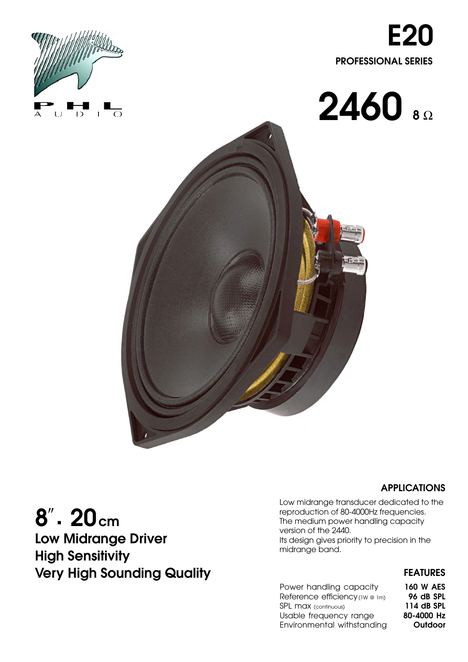







**Low Midrange Driver High Sensitivity Very High Sounding Quality FEATURES** 

## **APPLICATIONS**

Low midrange transducer dedicated to the reproduction of 80-4000Hz frequencies. The medium power handling capacity version of the 2440. Its design gives priority to precision in the midrange band.

| Power handling capacity        | <b>160 W AES</b> |
|--------------------------------|------------------|
| Reference efficiency (1W @ 1m) | 96 dB SPL        |
| SPL max (continuous)           | 114 dB SPL       |
| Usable frequency range         | 80-4000 Hz       |
| Environmental withstanding     | Outdoor          |